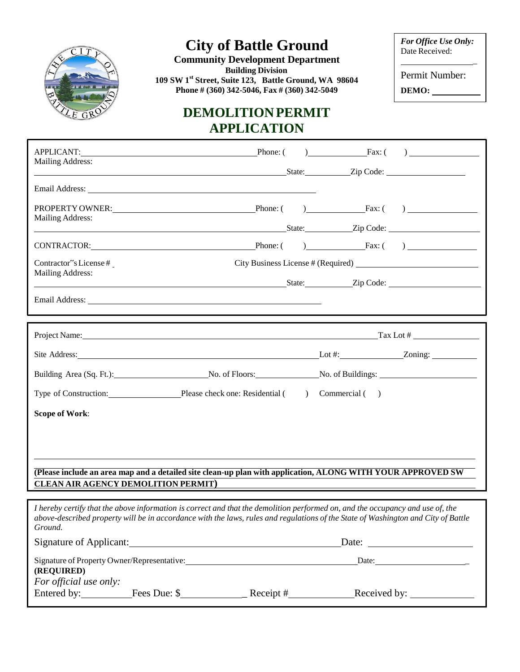

## **City of Battle Ground**

**Building Division Community Development Department 109 SW 1st Street, Suite 123, Battle Ground, WA 98604 Phone # (360) 342-5046, Fax # (360) 342-5049**

## **DEMOLITIONPERMIT APPLICATION**

*For Office Use Only:* Date Received:

\_

Permit Number: **DEMO:**

| <b>Mailing Address:</b>                          | APPLICANT: Phone: (                                                                                                                                                                                                            |           |               | $\Gamma$ Fax: ( )                                                                                                                     |  |
|--------------------------------------------------|--------------------------------------------------------------------------------------------------------------------------------------------------------------------------------------------------------------------------------|-----------|---------------|---------------------------------------------------------------------------------------------------------------------------------------|--|
|                                                  | State: Zip Code:                                                                                                                                                                                                               |           |               |                                                                                                                                       |  |
|                                                  |                                                                                                                                                                                                                                |           |               |                                                                                                                                       |  |
| PROPERTY OWNER: VALUE AND THE PROPERTY OWNER:    |                                                                                                                                                                                                                                |           |               | Phone: $\begin{pmatrix} 0 & \cdots & \cdots & \cdots \end{pmatrix}$ Fax: $\begin{pmatrix} 0 & \cdots & \cdots & \cdots \end{pmatrix}$ |  |
| <b>Mailing Address:</b>                          | State: <u>Zip Code:</u> Zip Code:                                                                                                                                                                                              |           |               |                                                                                                                                       |  |
|                                                  | CONTRACTOR: Phone: Phone: Phone: Fax: ()                                                                                                                                                                                       |           |               |                                                                                                                                       |  |
| Contractor"s License#<br><b>Mailing Address:</b> |                                                                                                                                                                                                                                |           |               |                                                                                                                                       |  |
|                                                  |                                                                                                                                                                                                                                |           |               |                                                                                                                                       |  |
|                                                  | Email Address: the contract of the contract of the contract of the contract of the contract of the contract of the contract of the contract of the contract of the contract of the contract of the contract of the contract of |           |               |                                                                                                                                       |  |
|                                                  |                                                                                                                                                                                                                                |           |               |                                                                                                                                       |  |
|                                                  | Project Name: Tax Lot #                                                                                                                                                                                                        |           |               |                                                                                                                                       |  |
|                                                  |                                                                                                                                                                                                                                |           |               |                                                                                                                                       |  |
|                                                  |                                                                                                                                                                                                                                |           |               |                                                                                                                                       |  |
|                                                  | Building Area (Sq. Ft.): No. of Floors: No. of Buildings:                                                                                                                                                                      |           |               |                                                                                                                                       |  |
|                                                  | Type of Construction: Please check one: Residential (                                                                                                                                                                          | $\lambda$ | Commercial () |                                                                                                                                       |  |
| <b>Scope of Work:</b>                            |                                                                                                                                                                                                                                |           |               |                                                                                                                                       |  |
|                                                  |                                                                                                                                                                                                                                |           |               |                                                                                                                                       |  |
|                                                  |                                                                                                                                                                                                                                |           |               |                                                                                                                                       |  |
|                                                  |                                                                                                                                                                                                                                |           |               |                                                                                                                                       |  |
| <b>CLEAN AIR AGENCY DEMOLITION PERMIT)</b>       | (Please include an area map and a detailed site clean-up plan with application, ALONG WITH YOUR APPROVED SW                                                                                                                    |           |               |                                                                                                                                       |  |

I hereby certify that the above information is correct and that the demolition performed on, and the occupancy and use of, the above-described property will be in accordance with the laws, rules and regulations of the State of Washington and City of Battle *Ground.* Signature of Applicant: Date: Date: Date: Date: Date: Date: Date: Date: Date: Date: Date: Date: Date: Date: Date: Date: Date: Date: Date: Date: Date: Date: Date: Date: Date: Date: Date: Date: Date: Date: Date: Date: Date:

| Signature of Property Owner/Representative:<br>(REQUIRED) |              |           | Date:        |
|-----------------------------------------------------------|--------------|-----------|--------------|
| For official use only:                                    |              |           |              |
| Entered by:                                               | Fees Due: \$ | Receipt # | Received by: |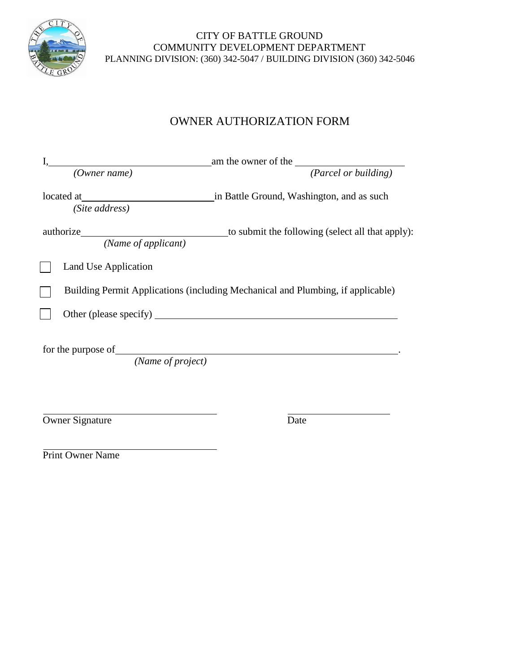

### CITY OF BATTLE GROUND COMMUNITY DEVELOPMENT DEPARTMENT PLANNING DIVISION: (360) 342-5047 / BUILDING DIVISION (360) 342-5046

### OWNER AUTHORIZATION FORM

|                        | (Owner name)                                                                        | am the owner of the $\frac{1}{\sqrt{2\pi}}$ ( <i>Parcel or building</i> )       |
|------------------------|-------------------------------------------------------------------------------------|---------------------------------------------------------------------------------|
| located at             | <u> 1980 - Andrea Station Books, amerikansk politik (d. 1980)</u><br>(Site address) | in Battle Ground, Washington, and as such                                       |
|                        | (Name of applicant)                                                                 | to submit the following (select all that apply):                                |
|                        | Land Use Application                                                                |                                                                                 |
|                        |                                                                                     | Building Permit Applications (including Mechanical and Plumbing, if applicable) |
|                        |                                                                                     |                                                                                 |
|                        |                                                                                     |                                                                                 |
|                        | (Name of project)                                                                   |                                                                                 |
|                        |                                                                                     |                                                                                 |
| <b>Owner Signature</b> |                                                                                     | Date                                                                            |

Print Owner Name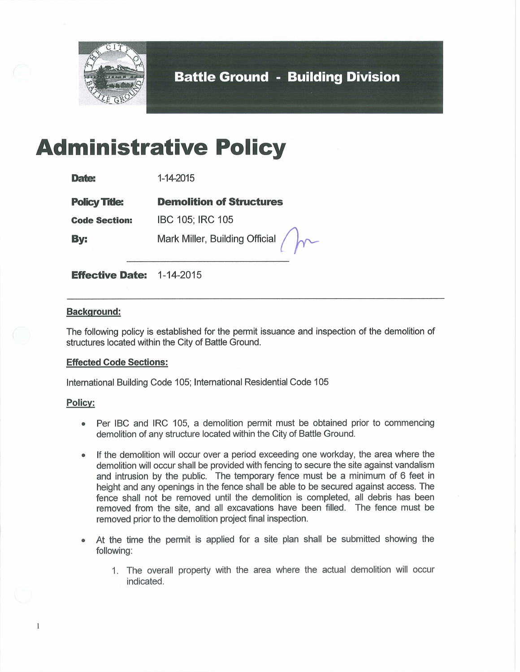

**Battle Ground - Building Division** 

# **Administrative Policy**

| <b>Date:</b>         | 1-14-2015                       |
|----------------------|---------------------------------|
| <b>Policy Title:</b> | <b>Demolition of Structures</b> |
| <b>Code Section:</b> | IBC 105; IRC 105                |
| By:                  | Mark Miller, Building Official  |

**Effective Date: 1-14-2015** 

### **Background:**

The following policy is established for the permit issuance and inspection of the demolition of structures located within the City of Battle Ground.

### **Effected Code Sections:**

International Building Code 105; International Residential Code 105

### **Policy:**

 $\mathbf{1}$ 

- Per IBC and IRC 105, a demolition permit must be obtained prior to commencing demolition of any structure located within the City of Battle Ground.
- If the demolition will occur over a period exceeding one workday, the area where the  $\bullet$ demolition will occur shall be provided with fencing to secure the site against vandalism and intrusion by the public. The temporary fence must be a minimum of 6 feet in height and any openings in the fence shall be able to be secured against access. The fence shall not be removed until the demolition is completed, all debris has been removed from the site, and all excavations have been filled. The fence must be removed prior to the demolition project final inspection.
- At the time the permit is applied for a site plan shall be submitted showing the  $\bullet$ following:
	- 1. The overall property with the area where the actual demolition will occur indicated.